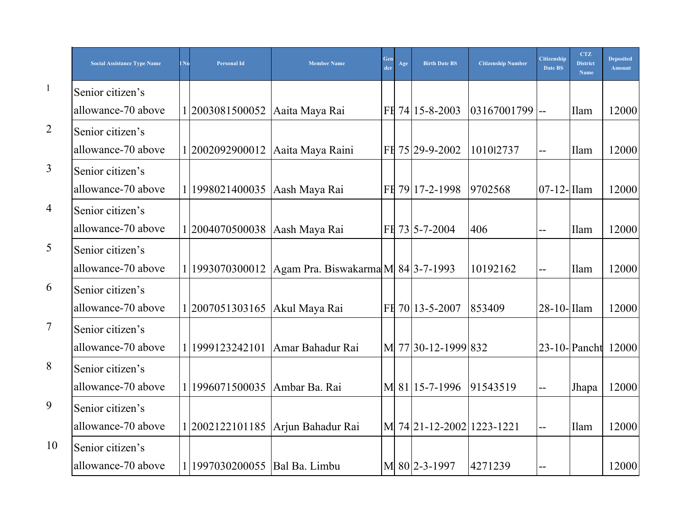|                | <b>Social Assistance Type Name</b> | Nu | Personal Id                     | <b>Member Name</b>                 | Gen<br>der | Age | <b>Birth Date BS</b>            | <b>Citizenship Number</b> | <b>Citizenship</b><br>Date BS | <b>CTZ</b><br><b>District</b><br><b>Name</b> | <b>Deposited</b><br><b>Amount</b> |
|----------------|------------------------------------|----|---------------------------------|------------------------------------|------------|-----|---------------------------------|---------------------------|-------------------------------|----------------------------------------------|-----------------------------------|
| $\mathbf{1}$   | Senior citizen's                   |    |                                 |                                    |            |     |                                 |                           |                               |                                              |                                   |
|                | allowance-70 above                 |    | 1 2003081500052                 | Aaita Maya Rai                     |            |     | FH 74 15-8-2003                 | $03167001799$ --          |                               | Ilam                                         | 12000                             |
| $\overline{2}$ | Senior citizen's                   |    |                                 |                                    |            |     |                                 |                           |                               |                                              |                                   |
|                | allowance-70 above                 |    | 12002092900012                  | Aaita Maya Raini                   |            |     | FH 75 29-9-2002                 | 101012737                 | $-$                           | Ilam                                         | 12000                             |
| $\overline{3}$ | Senior citizen's                   |    |                                 |                                    |            |     |                                 |                           |                               |                                              |                                   |
|                | allowance-70 above                 |    | 1 1998021400035                 | Aash Maya Rai                      |            |     | FH 79 17-2-1998                 | 9702568                   | $07-12$ -Illam                |                                              | 12000                             |
| 4              | Senior citizen's                   |    |                                 |                                    |            |     |                                 |                           |                               |                                              |                                   |
|                | allowance-70 above                 |    | 1 2004070500038                 | Aash Maya Rai                      |            |     | FH 73 5-7-2004                  | 406                       | $-$                           | Ilam                                         | 12000                             |
| 5              | Senior citizen's                   |    |                                 |                                    |            |     |                                 |                           |                               |                                              |                                   |
|                | allowance-70 above                 |    | 1 1993070300012                 | Agam Pra. Biswakarma M 84 3-7-1993 |            |     |                                 | 10192162                  | $-$                           | Ilam                                         | 12000                             |
| 6              | Senior citizen's                   |    |                                 |                                    |            |     |                                 |                           |                               |                                              |                                   |
|                | allowance-70 above                 |    | 1 2007051303165                 | Akul Maya Rai                      |            |     | FH 70 13-5-2007                 | 853409                    | $28-10$ -Ilam                 |                                              | 12000                             |
| $\overline{7}$ | Senior citizen's                   |    |                                 |                                    |            |     |                                 |                           |                               |                                              |                                   |
|                | allowance-70 above                 |    | 1 1999123242101                 | Amar Bahadur Rai                   |            |     | M 77 30-12-1999 832             |                           |                               |                                              | 23-10-Pancht 12000                |
| 8              | Senior citizen's                   |    |                                 |                                    |            |     |                                 |                           |                               |                                              |                                   |
|                | allowance-70 above                 |    | 1 1996071500035                 | Ambar Ba. Rai                      |            |     | M 81 15-7-1996                  | 91543519                  |                               | Jhapa                                        | 12000                             |
| 9              | Senior citizen's                   |    |                                 |                                    |            |     |                                 |                           |                               |                                              |                                   |
|                | allowance-70 above                 |    | 1 2002122101185                 | Arjun Bahadur Rai                  |            |     | M 74 21 - 12 - 2002 1223 - 1221 |                           | $\overline{a}$                | Ilam                                         | 12000                             |
| 10             | Senior citizen's                   |    |                                 |                                    |            |     |                                 |                           |                               |                                              |                                   |
|                | allowance-70 above                 |    | 1 1997030200055   Bal Ba. Limbu |                                    |            |     | M 80 2-3-1997                   | 4271239                   |                               |                                              | 12000                             |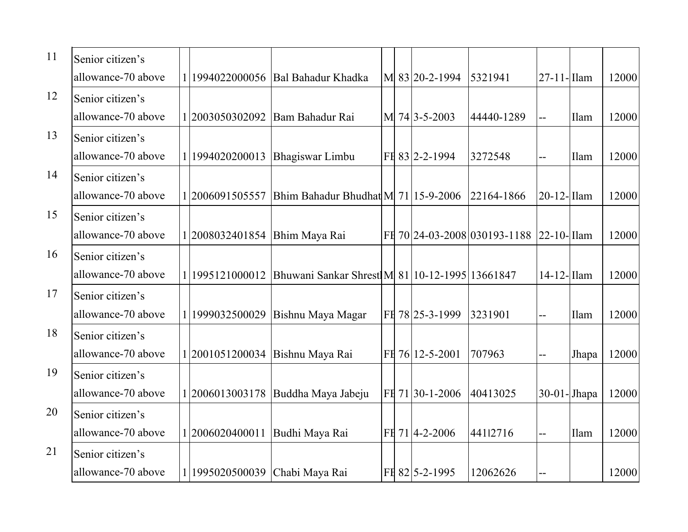| 11 | Senior citizen's   |                                |                                                |  |                 |                                          |                   |             |       |
|----|--------------------|--------------------------------|------------------------------------------------|--|-----------------|------------------------------------------|-------------------|-------------|-------|
|    | allowance-70 above | 1 1994022000056                | Bal Bahadur Khadka                             |  | M 83 20-2-1994  | 5321941                                  | $ 27 - 11 -$ Ilam |             | 12000 |
| 12 | Senior citizen's   |                                |                                                |  |                 |                                          |                   |             |       |
|    | allowance-70 above | 12003050302092                 | Bam Bahadur Rai                                |  | M 74 3-5-2003   | 44440-1289                               | $-$               | Ilam        | 12000 |
| 13 | Senior citizen's   |                                |                                                |  |                 |                                          |                   |             |       |
|    | allowance-70 above | 1 1994020200013                | Bhagiswar Limbu                                |  | FH 83 2-2-1994  | 3272548                                  | $-$               | Ilam        | 12000 |
| 14 | Senior citizen's   |                                |                                                |  |                 |                                          |                   |             |       |
|    | allowance-70 above | 1 2006091505557                | Bhim Bahadur Bhudhat M 71   15-9-2006          |  |                 | 22164-1866                               | $ 20-12-1$ Ilam   |             | 12000 |
| 15 | Senior citizen's   |                                |                                                |  |                 |                                          |                   |             |       |
|    | allowance-70 above | 1 2008032401854                | Bhim Maya Rai                                  |  |                 | FI 70 24-03-2008 030193-1188 22-10- Ilam |                   |             | 12000 |
| 16 | Senior citizen's   |                                |                                                |  |                 |                                          |                   |             |       |
|    | allowance-70 above | 1 1995121000012                | Bhuwani Sankar Shrest M 81 10-12-1995 13661847 |  |                 |                                          | $14-12$ -Ilam     |             | 12000 |
| 17 | Senior citizen's   |                                |                                                |  |                 |                                          |                   |             |       |
|    | allowance-70 above | 1 1999032500029                | Bishnu Maya Magar                              |  | FH 78 25-3-1999 | 3231901                                  | $-$               | Ilam        | 12000 |
| 18 | Senior citizen's   |                                |                                                |  |                 |                                          |                   |             |       |
|    | allowance-70 above |                                | 1 2001051200034 Bishnu Maya Rai                |  | FH 76 12-5-2001 | 707963                                   | $-$               | Jhapa       | 12000 |
| 19 | Senior citizen's   |                                |                                                |  |                 |                                          |                   |             |       |
|    | allowance-70 above | 1 2006013003178                | Buddha Maya Jabeju                             |  | FH 71 30-1-2006 | 40413025                                 | $ 30-01-$ Jhapa   |             | 12000 |
| 20 | Senior citizen's   |                                |                                                |  |                 |                                          |                   |             |       |
|    | allowance-70 above | 1 2006020400011                | Budhi Maya Rai                                 |  | FH 71 4-2-2006  | 44112716                                 | $-$               | <b>Ilam</b> | 12000 |
| 21 | Senior citizen's   |                                |                                                |  |                 |                                          |                   |             |       |
|    | allowance-70 above | 1 1995020500039 Chabi Maya Rai |                                                |  | FH 82 5-2-1995  | 12062626                                 |                   |             | 12000 |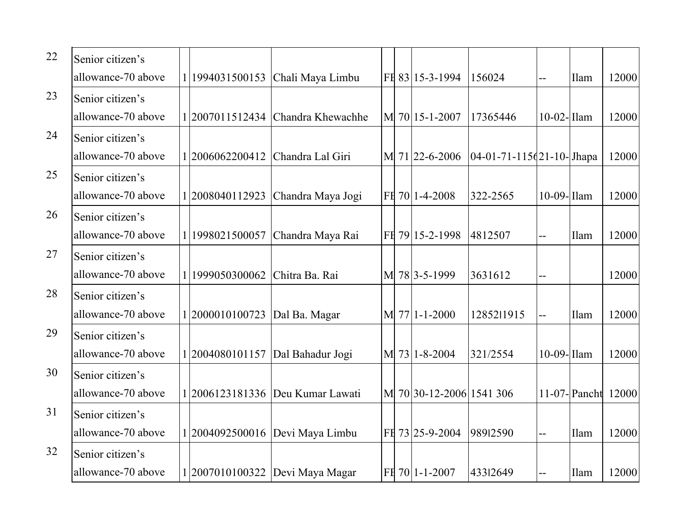| 22 | Senior citizen's   |                 |                                     |  |                          |                              |                          |             |                    |
|----|--------------------|-----------------|-------------------------------------|--|--------------------------|------------------------------|--------------------------|-------------|--------------------|
|    | allowance-70 above |                 | 1 1994031500153 Chali Maya Limbu    |  | FE 83 15-3-1994          | 156024                       | $-$                      | <b>Ilam</b> | 12000              |
| 23 | Senior citizen's   |                 |                                     |  |                          |                              |                          |             |                    |
|    | allowance-70 above |                 | 1 2007011512434   Chandra Khewachhe |  | M 70 15-1-2007           | 17365446                     | 10-02-Ilam               |             | 12000              |
| 24 | Senior citizen's   |                 |                                     |  |                          |                              |                          |             |                    |
|    | allowance-70 above | 1 2006062200412 | Chandra Lal Giri                    |  | M 71 22-6-2006           | $[04-01-71-115(21-10)]$ hapa |                          |             | 12000              |
| 25 | Senior citizen's   |                 |                                     |  |                          |                              |                          |             |                    |
|    | allowance-70 above |                 | 1 2008040112923   Chandra Maya Jogi |  | FE 70 1-4-2008           | 322-2565                     | $10-09$ -Ilam            |             | 12000              |
| 26 | Senior citizen's   |                 |                                     |  |                          |                              |                          |             |                    |
|    | allowance-70 above |                 | 1 1998021500057 Chandra Maya Rai    |  | FH 79 15-2-1998          | 4812507                      | --                       | Ilam        | 12000              |
| 27 | Senior citizen's   |                 |                                     |  |                          |                              |                          |             |                    |
|    | allowance-70 above | 1 1999050300062 | Chitra Ba. Rai                      |  | M 78 3-5-1999            | 3631612                      | $-$                      |             | 12000              |
| 28 | Senior citizen's   |                 |                                     |  |                          |                              |                          |             |                    |
|    | allowance-70 above | 1 2000010100723 | Dal Ba. Magar                       |  | $M$   77 1-1-2000        | 1285211915                   | $\overline{\phantom{a}}$ | Ilam        | 12000              |
| 29 | Senior citizen's   |                 |                                     |  |                          |                              |                          |             |                    |
|    | allowance-70 above |                 | 1 2004080101157   Dal Bahadur Jogi  |  | M 73 1-8-2004            | 321/2554                     | $10-09$ -Ilam            |             | 12000              |
| 30 | Senior citizen's   |                 |                                     |  |                          |                              |                          |             |                    |
|    | allowance-70 above |                 | 1 2006123181336  Deu Kumar Lawati   |  | M 70 30-12-2006 1541 306 |                              |                          |             | 11-07-Pancht 12000 |
| 31 | Senior citizen's   |                 |                                     |  |                          |                              |                          |             |                    |
|    | allowance-70 above |                 | 1 2004092500016  Devi Maya Limbu    |  | FH 73 25-9-2004          | 98912590                     | $-$                      | Ilam        | 12000              |
| 32 | Senior citizen's   |                 |                                     |  |                          |                              |                          |             |                    |
|    | allowance-70 above |                 | 1 2007010100322   Devi Maya Magar   |  | FH 70 1-1-2007           | 43312649                     | --                       | <b>Ilam</b> | 12000              |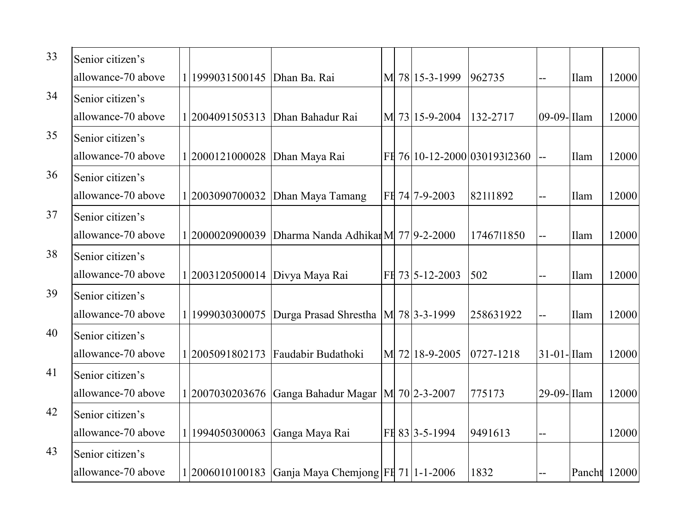| 33 | Senior citizen's   |                                 |                                                          |  |                 |                              |                |              |       |
|----|--------------------|---------------------------------|----------------------------------------------------------|--|-----------------|------------------------------|----------------|--------------|-------|
|    | allowance-70 above | 1 1999031500145   Dhan Ba. Rai  |                                                          |  | M 78 15-3-1999  | 962735                       | $-$            | Ilam         | 12000 |
| 34 | Senior citizen's   |                                 |                                                          |  |                 |                              |                |              |       |
|    | allowance-70 above | 2004091505313                   | Dhan Bahadur Rai                                         |  | M 73 15-9-2004  | 132-2717                     | 09-09-Illam    |              | 12000 |
| 35 | Senior citizen's   |                                 |                                                          |  |                 |                              |                |              |       |
|    | allowance-70 above | 1 2000121000028   Dhan Maya Rai |                                                          |  |                 | FE 76 10-12-2000 030193 2360 | $\overline{a}$ | Ilam         | 12000 |
| 36 | Senior citizen's   |                                 |                                                          |  |                 |                              |                |              |       |
|    | allowance-70 above | 2003090700032                   | Dhan Maya Tamang                                         |  | FH 74 7-9-2003  | 82111892                     | $-$            | Ilam         | 12000 |
| 37 | Senior citizen's   |                                 |                                                          |  |                 |                              |                |              |       |
|    | allowance-70 above | 12000020900039                  | Dharma Nanda Adhikar M 77 9-2-2000                       |  |                 | 1746711850                   | 44             | Ilam         | 12000 |
| 38 | Senior citizen's   |                                 |                                                          |  |                 |                              |                |              |       |
|    | allowance-70 above | 1 2003120500014                 | Divya Maya Rai                                           |  | FH 73 5-12-2003 | 502                          | $-$            | Ilam         | 12000 |
| 39 | Senior citizen's   |                                 |                                                          |  |                 |                              |                |              |       |
|    | allowance-70 above | 1999030300075                   | Durga Prasad Shrestha                                    |  | M 78 3-3-1999   | 258631922                    | $-$            | Ilam         | 12000 |
| 40 | Senior citizen's   |                                 |                                                          |  |                 |                              |                |              |       |
|    | allowance-70 above |                                 | 2005091802173 Faudabir Budathoki                         |  | M 72 18-9-2005  | 0727-1218                    | $31-01$ -Ilam  |              | 12000 |
| 41 | Senior citizen's   |                                 |                                                          |  |                 |                              |                |              |       |
|    | allowance-70 above |                                 | 1 2007030203676 Ganga Bahadur Magar   M 70  2-3-2007     |  |                 | 775173                       | 29-09- Ilam    |              | 12000 |
| 42 | Senior citizen's   |                                 |                                                          |  |                 |                              |                |              |       |
|    | allowance-70 above | 1994050300063                   | Ganga Maya Rai                                           |  | FE 83 3-5-1994  | 9491613                      | $-$            |              | 12000 |
| 43 | Senior citizen's   |                                 |                                                          |  |                 |                              |                |              |       |
|    | allowance-70 above |                                 | 1 2006010100183   Ganja Maya Chemjong   FI 71   1-1-2006 |  |                 | 1832                         |                | Pancht 12000 |       |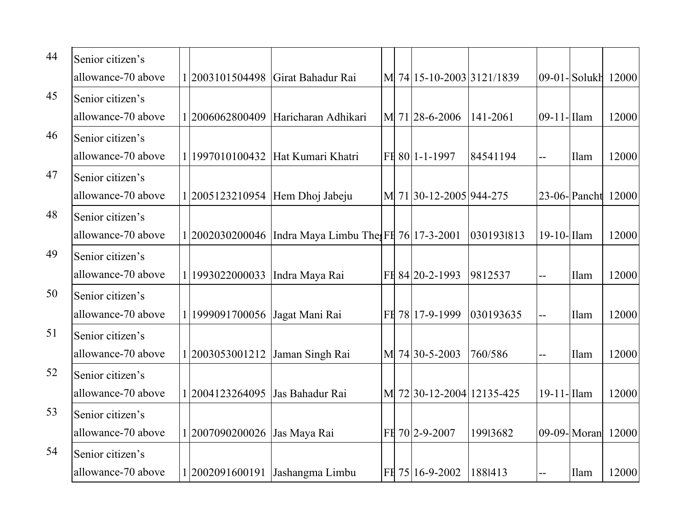| 44 | Senior citizen's   |                                  |                                                        |  |                           |            |                |                    |       |
|----|--------------------|----------------------------------|--------------------------------------------------------|--|---------------------------|------------|----------------|--------------------|-------|
|    | allowance-70 above |                                  |                                                        |  |                           |            |                |                    |       |
|    |                    |                                  | 1 2003101504498   Girat Bahadur Rai                    |  | M 74 15-10-2003 3121/1839 |            |                | 09-01-Solukh 12000 |       |
| 45 | Senior citizen's   |                                  |                                                        |  |                           |            |                |                    |       |
|    | allowance-70 above | 12006062800409                   | Haricharan Adhikari                                    |  | M 71 28-6-2006            | 141-2061   | 09-11-Ilam     |                    | 12000 |
| 46 | Senior citizen's   |                                  |                                                        |  |                           |            |                |                    |       |
|    | allowance-70 above |                                  | 1997010100432 Hat Kumari Khatri                        |  | FH 80 1-1-1997            | 84541194   | $-$            | Ilam               | 12000 |
| 47 | Senior citizen's   |                                  |                                                        |  |                           |            |                |                    |       |
|    | allowance-70 above |                                  | 1 2005123210954 Hem Dhoj Jabeju                        |  | M 71 30-12-2005 944-275   |            |                | $23-06$ -Pancht    | 12000 |
| 48 | Senior citizen's   |                                  |                                                        |  |                           |            |                |                    |       |
|    | allowance-70 above |                                  | 1 2002030200046   Indra Maya Limbu The FI 76 17-3-2001 |  |                           | 0301931813 | $19-10$ -Ilam  |                    | 12000 |
| 49 | Senior citizen's   |                                  |                                                        |  |                           |            |                |                    |       |
|    | allowance-70 above | 1 1993022000033   Indra Maya Rai |                                                        |  | FH 84 20-2-1993           | 9812537    | $-$            | Ilam               | 12000 |
| 50 | Senior citizen's   |                                  |                                                        |  |                           |            |                |                    |       |
|    | allowance-70 above | 1999091700056                    | Jagat Mani Rai                                         |  | FH 78 17-9-1999           | 030193635  | $\overline{a}$ | Ilam               | 12000 |
| 51 | Senior citizen's   |                                  |                                                        |  |                           |            |                |                    |       |
|    | allowance-70 above | 1 2003053001212 Jaman Singh Rai  |                                                        |  | M 74 30-5-2003            | 760/586    | $-$            | Ilam               | 12000 |
| 52 | Senior citizen's   |                                  |                                                        |  |                           |            |                |                    |       |
|    | allowance-70 above | 1 2004123264095                  | Jas Bahadur Rai                                        |  | M 72 30-12-2004 12135-425 |            | $19-11$ -Ilam  |                    | 12000 |
| 53 | Senior citizen's   |                                  |                                                        |  |                           |            |                |                    |       |
|    | allowance-70 above | 1 2007090200026                  | Jas Maya Rai                                           |  | FH 70 2-9-2007            | 19913682   |                | 09-09-Moran        | 12000 |
| 54 | Senior citizen's   |                                  |                                                        |  |                           |            |                |                    |       |
|    | allowance-70 above |                                  | 1 2002091600191   Jashangma Limbu                      |  | FH 75 16-9-2002           | 1881413    | $-$            | Ilam               | 12000 |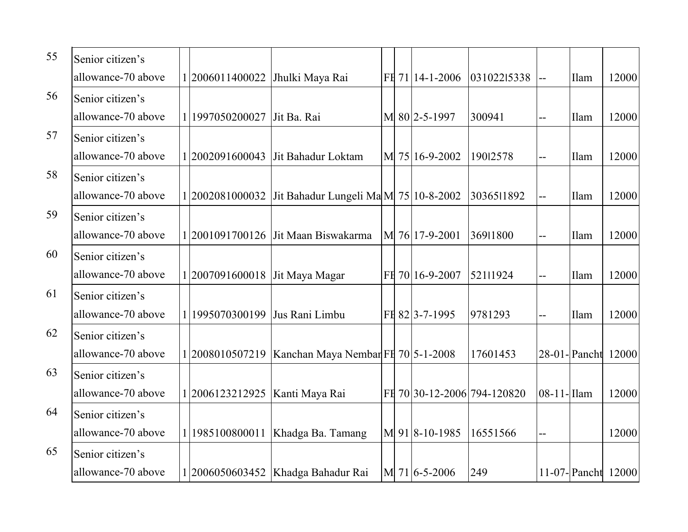| 55 | Senior citizen's   |              |                 |                                          |  |                 |                             |            |                    |       |
|----|--------------------|--------------|-----------------|------------------------------------------|--|-----------------|-----------------------------|------------|--------------------|-------|
|    | allowance-70 above |              | 12006011400022  | Jhulki Maya Rai                          |  | FH 71 14-1-2006 | 03102215338                 |            | Ilam               | 12000 |
| 56 | Senior citizen's   |              |                 |                                          |  |                 |                             |            |                    |       |
|    | allowance-70 above | $\mathbf{1}$ | 1997050200027   | Jit Ba. Rai                              |  | M 80 2-5-1997   | 300941                      |            | Ilam               | 12000 |
| 57 | Senior citizen's   |              |                 |                                          |  |                 |                             |            |                    |       |
|    | allowance-70 above |              | 1 2002091600043 | Jit Bahadur Loktam                       |  | M 75 16-9-2002  | 19012578                    |            | Ilam               | 12000 |
| 58 | Senior citizen's   |              |                 |                                          |  |                 |                             |            |                    |       |
|    | allowance-70 above |              | 1 2002081000032 | Jit Bahadur Lungeli Ma M  75   10-8-2002 |  |                 | 3036511892                  |            | Ilam               | 12000 |
| 59 | Senior citizen's   |              |                 |                                          |  |                 |                             |            |                    |       |
|    | allowance-70 above |              |                 | 1 2001091700126   Jit Maan Biswakarma    |  | M 76 17-9-2001  | 36911800                    |            | Ilam               | 12000 |
| 60 | Senior citizen's   |              |                 |                                          |  |                 |                             |            |                    |       |
|    | allowance-70 above |              | 12007091600018  | Jit Maya Magar                           |  | FH 70 16-9-2007 | 52111924                    |            | Ilam               | 12000 |
| 61 | Senior citizen's   |              |                 |                                          |  |                 |                             |            |                    |       |
|    | allowance-70 above |              | 1995070300199   | Jus Rani Limbu                           |  | FH 82 3-7-1995  | 9781293                     |            | Ilam               | 12000 |
| 62 | Senior citizen's   |              |                 |                                          |  |                 |                             |            |                    |       |
|    | allowance-70 above |              | 1 2008010507219 | Kanchan Maya Nembar FE 70 5-1-2008       |  |                 | 17601453                    |            | 28-01-Pancht 12000 |       |
| 63 | Senior citizen's   |              |                 |                                          |  |                 |                             |            |                    |       |
|    | allowance-70 above |              | 1 2006123212925 | Kanti Maya Rai                           |  |                 | FE 70 30-12-2006 794-120820 | 08-11-Ilam |                    | 12000 |
| 64 | Senior citizen's   |              |                 |                                          |  |                 |                             |            |                    |       |
|    | allowance-70 above |              | 1985100800011   | Khadga Ba. Tamang                        |  | M 91 8-10-1985  | 16551566                    | $-$        |                    | 12000 |
| 65 | Senior citizen's   |              |                 |                                          |  |                 |                             |            |                    |       |
|    | allowance-70 above |              | 2006050603452   | Khadga Bahadur Rai                       |  | M 71 6-5-2006   | 249                         |            | 11-07-Pancht       | 12000 |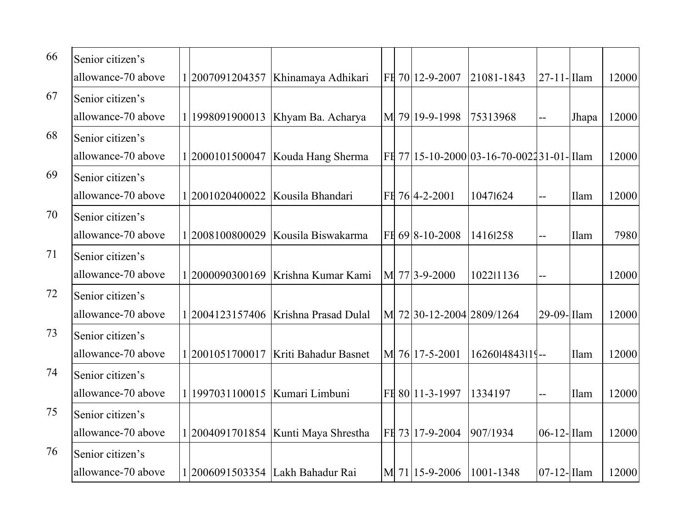| 66 | Senior citizen's   |                                  |                                        |  |                           |                                           |                |             |       |
|----|--------------------|----------------------------------|----------------------------------------|--|---------------------------|-------------------------------------------|----------------|-------------|-------|
|    | allowance-70 above |                                  | 1 2007091204357   Khinamaya Adhikari   |  | FH 70 12-9-2007           | 21081-1843                                | $27-11$ -Ilam  |             | 12000 |
| 67 | Senior citizen's   |                                  |                                        |  |                           |                                           |                |             |       |
|    | allowance-70 above | 1998091900013                    | Khyam Ba. Acharya                      |  | M 79 19-9-1998            | 75313968                                  | $-$            | Jhapa       | 12000 |
| 68 | Senior citizen's   |                                  |                                        |  |                           |                                           |                |             |       |
|    | allowance-70 above |                                  | 1 2000101500047   Kouda Hang Sherma    |  |                           | FI 77 15-10-2000 03-16-70-002231-01- Ilam |                |             | 12000 |
| 69 | Senior citizen's   |                                  |                                        |  |                           |                                           |                |             |       |
|    | allowance-70 above |                                  | 1 2001020400022   Kousila Bhandari     |  | FH 76 4-2-2001            | 10471624                                  | $-$            | <b>Ilam</b> | 12000 |
| 70 | Senior citizen's   |                                  |                                        |  |                           |                                           |                |             |       |
|    | allowance-70 above |                                  | $1 2008100800029$ Kousila Biswakarma   |  | FE 69 8-10-2008           | 14161258                                  | $\overline{a}$ | Ilam        | 7980  |
| 71 | Senior citizen's   |                                  |                                        |  |                           |                                           |                |             |       |
|    | allowance-70 above |                                  | 1 2000090300169   Krishna Kumar Kami   |  | M 77 3-9-2000             | 102211136                                 | $\overline{a}$ |             | 12000 |
| 72 | Senior citizen's   |                                  |                                        |  |                           |                                           |                |             |       |
|    | allowance-70 above |                                  | 1 2004123157406   Krishna Prasad Dulal |  | M 72 30-12-2004 2809/1264 |                                           | $29-09$ -Ilam  |             | 12000 |
| 73 | Senior citizen's   |                                  |                                        |  |                           |                                           |                |             |       |
|    | allowance-70 above |                                  | 1 2001051700017   Kriti Bahadur Basnet |  | M 76 17-5-2001            | 1626014843119--                           |                | Ilam        | 12000 |
| 74 | Senior citizen's   |                                  |                                        |  |                           |                                           |                |             |       |
|    | allowance-70 above | 1 1997031100015   Kumari Limbuni |                                        |  | FH 80 11-3-1997           | 1334197                                   | $\overline{a}$ | Ilam        | 12000 |
| 75 | Senior citizen's   |                                  |                                        |  |                           |                                           |                |             |       |
|    | allowance-70 above |                                  | 1 2004091701854   Kunti Maya Shrestha  |  | FH 73 17-9-2004           | 907/1934                                  | $06-12$ -Ilam  |             | 12000 |
| 76 | Senior citizen's   |                                  |                                        |  |                           |                                           |                |             |       |
|    | allowance-70 above |                                  | 1 2006091503354 Lakh Bahadur Rai       |  | M 71 15-9-2006            | 1001-1348                                 | $07-12$ -Ilam  |             | 12000 |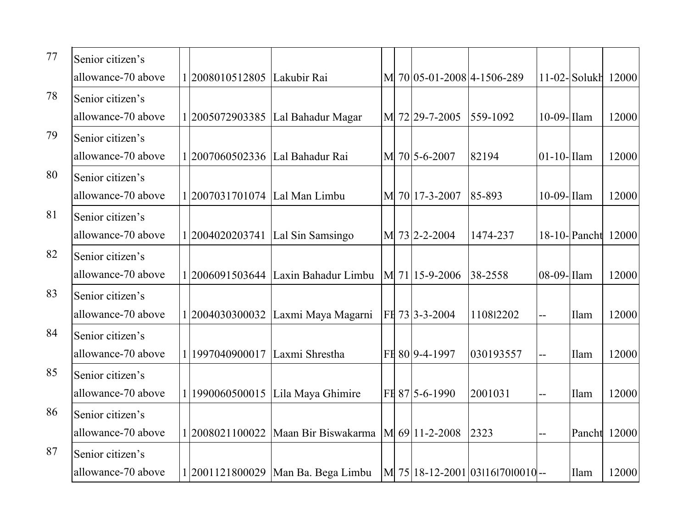| 77 | Senior citizen's   |                                   |                                                        |  |                            |                                    |               |                 |       |
|----|--------------------|-----------------------------------|--------------------------------------------------------|--|----------------------------|------------------------------------|---------------|-----------------|-------|
|    | allowance-70 above | 1 2008010512805 Lakubir Rai       |                                                        |  | M 70 05-01-2008 4-1506-289 |                                    |               | $11-02$ -Solukh | 12000 |
| 78 | Senior citizen's   |                                   |                                                        |  |                            |                                    |               |                 |       |
|    | allowance-70 above |                                   | 1 2005072903385 Lal Bahadur Magar                      |  | M 72 29-7-2005             | 559-1092                           | $10-09$ -Ilam |                 | 12000 |
| 79 | Senior citizen's   |                                   |                                                        |  |                            |                                    |               |                 |       |
|    | allowance-70 above | 1 2007060502336   Lal Bahadur Rai |                                                        |  | M 70 5-6-2007              | 82194                              | $01-10$ -Ilam |                 | 12000 |
| 80 | Senior citizen's   |                                   |                                                        |  |                            |                                    |               |                 |       |
|    | allowance-70 above | 1 2007031701074   Lal Man Limbu   |                                                        |  | M 70 17-3-2007             | 85-893                             | $10-09$ -Ilam |                 | 12000 |
| 81 | Senior citizen's   |                                   |                                                        |  |                            |                                    |               |                 |       |
|    | allowance-70 above |                                   | $1 2004020203741$ Lal Sin Samsingo                     |  | M 73 2-2-2004              | 1474-237                           |               | $18-10$ -Pancht | 12000 |
| 82 | Senior citizen's   |                                   |                                                        |  |                            |                                    |               |                 |       |
|    | allowance-70 above |                                   | $1 2006091503644$ Laxin Bahadur Limbu                  |  | M 71 15-9-2006             | 38-2558                            | 08-09-Illam   |                 | 12000 |
| 83 | Senior citizen's   |                                   |                                                        |  |                            |                                    |               |                 |       |
|    | allowance-70 above |                                   | 1 2004030300032 Laxmi Maya Magarni                     |  | FH 73 3-3-2004             | 110812202                          | $-$           | Ilam            | 12000 |
| 84 | Senior citizen's   |                                   |                                                        |  |                            |                                    |               |                 |       |
|    | allowance-70 above | 1997040900017 Laxmi Shrestha      |                                                        |  | FH 80 9-4-1997             | 030193557                          | $-$           | Ilam            | 12000 |
| 85 | Senior citizen's   |                                   |                                                        |  |                            |                                    |               |                 |       |
|    | allowance-70 above |                                   | 1990060500015 Lila Maya Ghimire                        |  | FE 87 5-6-1990             | 2001031                            |               | Ilam            | 12000 |
| 86 | Senior citizen's   |                                   |                                                        |  |                            |                                    |               |                 |       |
|    | allowance-70 above |                                   | 1 2008021100022   Maan Bir Biswakarma   M 69 11-2-2008 |  |                            | 2323                               | $-$           | Pancht          | 12000 |
| 87 | Senior citizen's   |                                   |                                                        |  |                            |                                    |               |                 |       |
|    | allowance-70 above |                                   | 1 2001121800029   Man Ba. Bega Limbu                   |  |                            | M 75 18-12-2001 03 16 70 100 10 -- |               | Ilam            | 12000 |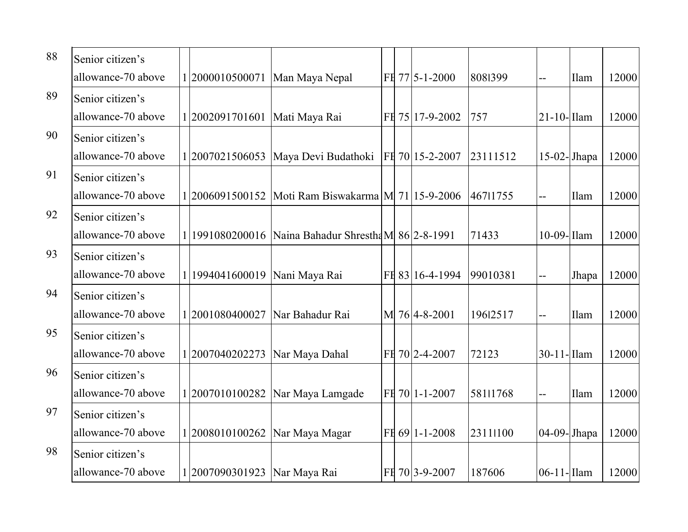| 88 | Senior citizen's   |                                |                                                        |  |                 |          |                          |             |       |
|----|--------------------|--------------------------------|--------------------------------------------------------|--|-----------------|----------|--------------------------|-------------|-------|
|    | allowance-70 above | 12000010500071                 | Man Maya Nepal                                         |  | FH 77 5-1-2000  | 8081399  | $-$                      | Ilam        | 12000 |
| 89 | Senior citizen's   |                                |                                                        |  |                 |          |                          |             |       |
|    | allowance-70 above | 12002091701601                 | Mati Maya Rai                                          |  | FH 75 17-9-2002 | 757      | $21-10$ -Ilam            |             | 12000 |
| 90 | Senior citizen's   |                                |                                                        |  |                 |          |                          |             |       |
|    | allowance-70 above |                                | 1 2007021506053   Maya Devi Budathoki                  |  | FH 70 15-2-2007 | 23111512 | $15-02$ -Jhapa           |             | 12000 |
| 91 | Senior citizen's   |                                |                                                        |  |                 |          |                          |             |       |
|    | allowance-70 above |                                | 1 2006091500152   Moti Ram Biswakarma   M 71 15-9-2006 |  |                 | 46711755 | $-$                      | <b>Ilam</b> | 12000 |
| 92 | Senior citizen's   |                                |                                                        |  |                 |          |                          |             |       |
|    | allowance-70 above |                                | 1 1991080200016 Naina Bahadur Shrestha M 86 2-8-1991   |  |                 | 71433    | $10-09$ -Ilam            |             | 12000 |
| 93 | Senior citizen's   |                                |                                                        |  |                 |          |                          |             |       |
|    | allowance-70 above | 1 1994041600019                | Nani Maya Rai                                          |  | FH 83 16-4-1994 | 99010381 | $\overline{\phantom{a}}$ | Jhapa       | 12000 |
| 94 | Senior citizen's   |                                |                                                        |  |                 |          |                          |             |       |
|    | allowance-70 above | 2001080400027                  | Nar Bahadur Rai                                        |  | M 76 4-8-2001   | 19612517 | $-$                      | Ilam        | 12000 |
| 95 | Senior citizen's   |                                |                                                        |  |                 |          |                          |             |       |
|    | allowance-70 above | 1 2007040202273                | Nar Maya Dahal                                         |  | FH 70 2-4-2007  | 72123    | $30-11$ -Ilam            |             | 12000 |
| 96 | Senior citizen's   |                                |                                                        |  |                 |          |                          |             |       |
|    | allowance-70 above | 1 2007010100282                | Nar Maya Lamgade                                       |  | FE 70 1-1-2007  | 58111768 | $-$                      | Ilam        | 12000 |
| 97 | Senior citizen's   |                                |                                                        |  |                 |          |                          |             |       |
|    | allowance-70 above | 12008010100262                 | Nar Maya Magar                                         |  | FH 69 1-1-2008  | 23111100 | $04-09$ -Jhapa           |             | 12000 |
| 98 | Senior citizen's   |                                |                                                        |  |                 |          |                          |             |       |
|    | allowance-70 above | 1 2007090301923   Nar Maya Rai |                                                        |  | FH 70 3-9-2007  | 187606   | 06-11-Ilam               |             | 12000 |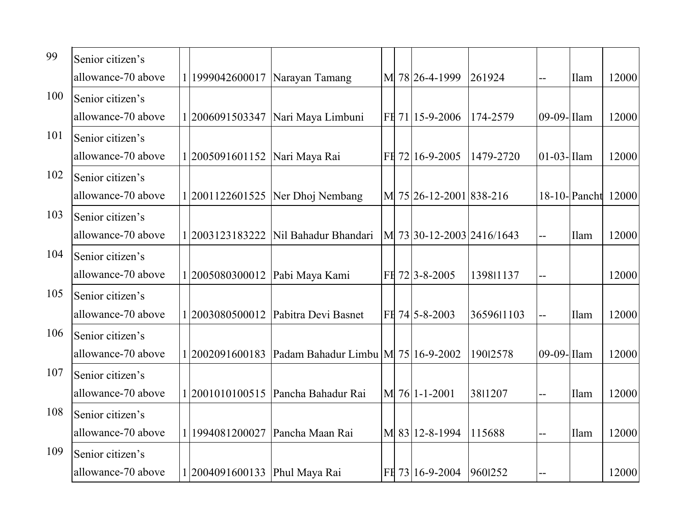| 99  | Senior citizen's   |                                 |                                                  |  |                           |            |                |              |       |
|-----|--------------------|---------------------------------|--------------------------------------------------|--|---------------------------|------------|----------------|--------------|-------|
|     | allowance-70 above | 1 1999042600017                 | Narayan Tamang                                   |  | M 78 26-4-1999            | 261924     | $-$            | Ilam         | 12000 |
| 100 | Senior citizen's   |                                 |                                                  |  |                           |            |                |              |       |
|     | allowance-70 above | 2006091503347                   | Nari Maya Limbuni                                |  | FH 71 15-9-2006           | 174-2579   | $09-09$ -Ilam  |              | 12000 |
| 101 | Senior citizen's   |                                 |                                                  |  |                           |            |                |              |       |
|     | allowance-70 above | 1 2005091601152   Nari Maya Rai |                                                  |  | FH 72 16-9-2005           | 1479-2720  | $01-03$ -Ilam  |              | 12000 |
| 102 | Senior citizen's   |                                 |                                                  |  |                           |            |                |              |       |
|     | allowance-70 above |                                 | 1 2001122601525   Ner Dhoj Nembang               |  | M 75 26-12-2001 838-216   |            |                | 18-10-Pancht | 12000 |
| 103 | Senior citizen's   |                                 |                                                  |  |                           |            |                |              |       |
|     | allowance-70 above |                                 | 1 2003123183222   Nil Bahadur Bhandari           |  | M 73 30-12-2003 2416/1643 |            | $\overline{a}$ | Ilam         | 12000 |
| 104 | Senior citizen's   |                                 |                                                  |  |                           |            |                |              |       |
|     | allowance-70 above | 1 2005080300012                 | Pabi Maya Kami                                   |  | FH 72 3-8-2005            | 139811137  | $-$            |              | 12000 |
| 105 | Senior citizen's   |                                 |                                                  |  |                           |            |                |              |       |
|     | allowance-70 above | 2003080500012                   | Pabitra Devi Basnet                              |  | FH 74 5-8-2003            | 3659611103 | $\overline{a}$ | Ilam         | 12000 |
| 106 | Senior citizen's   |                                 |                                                  |  |                           |            |                |              |       |
|     | allowance-70 above |                                 | 2002091600183 Padam Bahadur Limbu M 75 16-9-2002 |  |                           | 19012578   | 09-09-Ilam     |              | 12000 |
| 107 | Senior citizen's   |                                 |                                                  |  |                           |            |                |              |       |
|     | allowance-70 above |                                 | 2001010100515 Pancha Bahadur Rai                 |  | M 76 1-1-2001             | 3811207    | $-$            | Ilam         | 12000 |
| 108 | Senior citizen's   |                                 |                                                  |  |                           |            |                |              |       |
|     | allowance-70 above |                                 | 1994081200027 Pancha Maan Rai                    |  | M 83 12-8-1994            | 115688     | $\overline{a}$ | Ilam         | 12000 |
| 109 | Senior citizen's   |                                 |                                                  |  |                           |            |                |              |       |
|     | allowance-70 above | 1 2004091600133 Phul Maya Rai   |                                                  |  | FH 73 16-9-2004           | 9601252    |                |              | 12000 |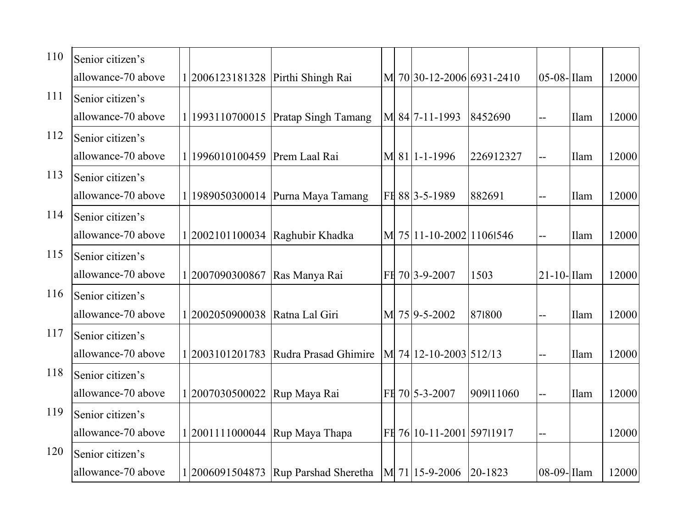| 110 | Senior citizen's   |                                   |                                    |  |                           |           |               |      |       |
|-----|--------------------|-----------------------------------|------------------------------------|--|---------------------------|-----------|---------------|------|-------|
|     | allowance-70 above | 1 2006123181328 Pirthi Shingh Rai |                                    |  | M 70 30-12-2006 6931-2410 |           | $05-08$ -Ilam |      | 12000 |
| 111 | Senior citizen's   |                                   |                                    |  |                           |           |               |      |       |
|     | allowance-70 above |                                   | 1993110700015 Pratap Singh Tamang  |  | M 84 7-11-1993            | 8452690   | $-$           | Ilam | 12000 |
| 112 | Senior citizen's   |                                   |                                    |  |                           |           |               |      |       |
|     | allowance-70 above | 1996010100459 Prem Laal Rai       |                                    |  | M 81 1-1-1996             | 226912327 | $-$           | Ilam | 12000 |
| 113 | Senior citizen's   |                                   |                                    |  |                           |           |               |      |       |
|     | allowance-70 above |                                   | 1989050300014 Purna Maya Tamang    |  | FH 88 3-5-1989            | 882691    |               | Ilam | 12000 |
| 114 | Senior citizen's   |                                   |                                    |  |                           |           |               |      |       |
|     | allowance-70 above |                                   | 1 2002101100034   Raghubir Khadka  |  | M 75 11-10-2002 11061546  |           | $-$           | Ilam | 12000 |
| 115 | Senior citizen's   |                                   |                                    |  |                           |           |               |      |       |
|     | allowance-70 above | 1 2007090300867                   | Ras Manya Rai                      |  | FH 70 3-9-2007            | 1503      | 21-10- Ilam   |      | 12000 |
| 116 | Senior citizen's   |                                   |                                    |  |                           |           |               |      |       |
|     | allowance-70 above | 2002050900038                     | Ratna Lal Giri                     |  | M 75 9-5-2002             | 871800    | $-$           | Ilam | 12000 |
| 117 | Senior citizen's   |                                   |                                    |  |                           |           |               |      |       |
|     | allowance-70 above | 2003101201783                     | Rudra Prasad Ghimire               |  | M 74 12-10-2003 512/13    |           | $-$           | Ilam | 12000 |
| 118 | Senior citizen's   |                                   |                                    |  |                           |           |               |      |       |
|     | allowance-70 above | 2007030500022                     | Rup Maya Rai                       |  | $FE$ 70 5-3-2007          | 909111060 | $-$           | Ilam | 12000 |
| 119 | Senior citizen's   |                                   |                                    |  |                           |           |               |      |       |
|     | allowance-70 above | 2001111000044                     | Rup Maya Thapa                     |  | FE 76 10-11-2001 597 1917 |           | $-$           |      | 12000 |
| 120 | Senior citizen's   |                                   |                                    |  |                           |           |               |      |       |
|     | allowance-70 above |                                   | 2006091504873 Rup Parshad Sheretha |  | M 71 15-9-2006 20-1823    |           | 08-09-Ilam    |      | 12000 |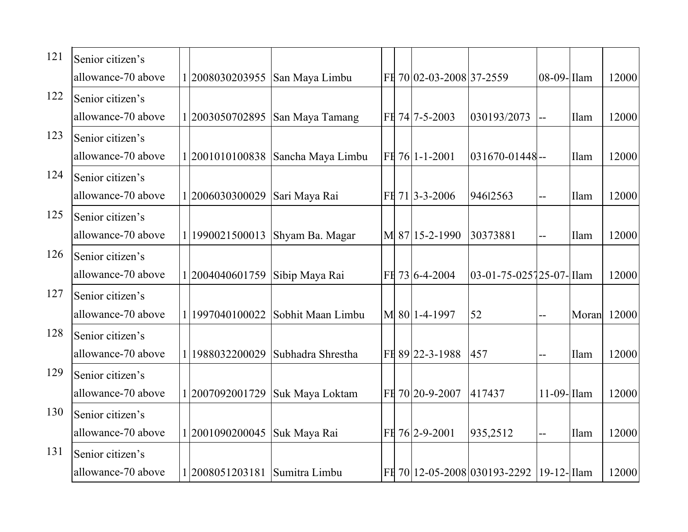| 121 | Senior citizen's   |                             |                                     |  |                          |                              |                |       |       |
|-----|--------------------|-----------------------------|-------------------------------------|--|--------------------------|------------------------------|----------------|-------|-------|
|     | allowance-70 above | 12008030203955              | San Maya Limbu                      |  | FH 70 02-03-2008 37-2559 |                              | 08-09-Ilam     |       | 12000 |
| 122 | Senior citizen's   |                             |                                     |  |                          |                              |                |       |       |
|     | allowance-70 above |                             | 1 2003050702895 San Maya Tamang     |  | FH 74 7-5-2003           | 030193/2073                  | $-$            | Ilam  | 12000 |
| 123 | Senior citizen's   |                             |                                     |  |                          |                              |                |       |       |
|     | allowance-70 above |                             | 1 2001010100838   Sancha Maya Limbu |  | FH 76 1-1-2001           | $031670 - 01448$ --          |                | Ilam  | 12000 |
| 124 | Senior citizen's   |                             |                                     |  |                          |                              |                |       |       |
|     | allowance-70 above | 2006030300029               | Sari Maya Rai                       |  | FH 71 3-3-2006           | 94612563                     | $-$            | Ilam  | 12000 |
| 125 | Senior citizen's   |                             |                                     |  |                          |                              |                |       |       |
|     | allowance-70 above | 1 1990021500013             | Shyam Ba. Magar                     |  | M 87 15-2-1990           | 30373881                     | $\overline{a}$ | Ilam  | 12000 |
| 126 | Senior citizen's   |                             |                                     |  |                          |                              |                |       |       |
|     | allowance-70 above | 1 2004040601759             | Sibip Maya Rai                      |  | FE 73 6-4-2004           | 03-01-75-025725-07-Illam     |                |       | 12000 |
| 127 | Senior citizen's   |                             |                                     |  |                          |                              |                |       |       |
|     | allowance-70 above | 1997040100022               | Sobhit Maan Limbu                   |  | M 80 1-4-1997            | 52                           | $-$            | Moran | 12000 |
| 128 | Senior citizen's   |                             |                                     |  |                          |                              |                |       |       |
|     | allowance-70 above | 1988032200029               | Subhadra Shrestha                   |  | FE 89 22-3-1988          | 457                          |                | Ilam  | 12000 |
| 129 | Senior citizen's   |                             |                                     |  |                          |                              |                |       |       |
|     | allowance-70 above | 1 2007092001729             | Suk Maya Loktam                     |  | FH 70 20-9-2007          | 417437                       | $11-09$ -Ilam  |       | 12000 |
| 130 | Senior citizen's   |                             |                                     |  |                          |                              |                |       |       |
|     | allowance-70 above | 1 2001090200045             | Suk Maya Rai                        |  | FH 76 2-9-2001           | 935,2512                     | $-$            | Ilam  | 12000 |
| 131 | Senior citizen's   |                             |                                     |  |                          |                              |                |       |       |
|     | allowance-70 above | 2008051203181 Sumitra Limbu |                                     |  |                          | FH 70 12-05-2008 030193-2292 | 19-12-Ilam     |       | 12000 |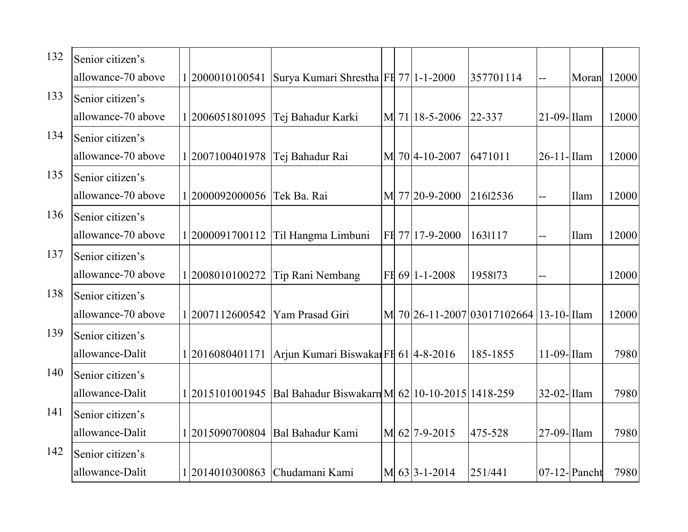| 132 | Senior citizen's   |                 |                                                         |  |                            |                             |                          |                 |       |
|-----|--------------------|-----------------|---------------------------------------------------------|--|----------------------------|-----------------------------|--------------------------|-----------------|-------|
|     | allowance-70 above | 12000010100541  | Surya Kumari Shrestha FE 77   1-1-2000                  |  |                            | 357701114                   | $\overline{\phantom{a}}$ | Moran           | 12000 |
| 133 | Senior citizen's   |                 |                                                         |  |                            |                             |                          |                 |       |
|     | allowance-70 above | 2006051801095   | Tej Bahadur Karki                                       |  | M 71 18-5-2006             | 22-337                      | $21-09$ -Ilam            |                 | 12000 |
| 134 | Senior citizen's   |                 |                                                         |  |                            |                             |                          |                 |       |
|     | allowance-70 above | 1 2007100401978 | Tej Bahadur Rai                                         |  | M 70 4-10-2007             | 6471011                     | $26-11$ -Ilam            |                 | 12000 |
| 135 | Senior citizen's   |                 |                                                         |  |                            |                             |                          |                 |       |
|     | allowance-70 above | 2000092000056   | Tek Ba. Rai                                             |  | M 77 20-9-2000             | 21612536                    | $-$                      | Ilam            | 12000 |
| 136 | Senior citizen's   |                 |                                                         |  |                            |                             |                          |                 |       |
|     | allowance-70 above |                 | 1 2000091700112 Til Hangma Limbuni                      |  | FH 77 17-9-2000            | 1631117                     | $\overline{a}$           | Ilam            | 12000 |
| 137 | Senior citizen's   |                 |                                                         |  |                            |                             |                          |                 |       |
|     | allowance-70 above | 12008010100272  | Tip Rani Nembang                                        |  | FH 69 1-1-2008             | 1958173                     | $-$                      |                 | 12000 |
| 138 | Senior citizen's   |                 |                                                         |  |                            |                             |                          |                 |       |
|     | allowance-70 above | 2007112600542   | Yam Prasad Giri                                         |  |                            | M 70 26-11-2007 03017102664 | $13-10$ -Ilam            |                 | 12000 |
| 139 | Senior citizen's   |                 |                                                         |  |                            |                             |                          |                 |       |
|     | allowance-Dalit    |                 | 1 2016080401171   Arjun Kumari Biswakar FE 61  4-8-2016 |  |                            | 185-1855                    | 11-09- Ilam              |                 | 7980  |
| 140 | Senior citizen's   |                 |                                                         |  |                            |                             |                          |                 |       |
|     | allowance-Dalit    | 2015101001945   | Bal Bahadur Biswakarn M 62 10-10-2015 1418-259          |  |                            |                             | $32-02$ -Ilam            |                 | 7980  |
| 141 | Senior citizen's   |                 |                                                         |  |                            |                             |                          |                 |       |
|     | allowance-Dalit    |                 | 1 2015090700804   Bal Bahadur Kami                      |  | M 62 7-9-2015              | 475-528                     | 27-09-Ilam               |                 | 7980  |
| 142 | Senior citizen's   |                 |                                                         |  |                            |                             |                          |                 |       |
|     | allowance-Dalit    |                 | 2014010300863 Chudamani Kami                            |  | $M\vert 63 \vert 3-1-2014$ | 251/441                     |                          | $07-12$ -Pancht | 7980  |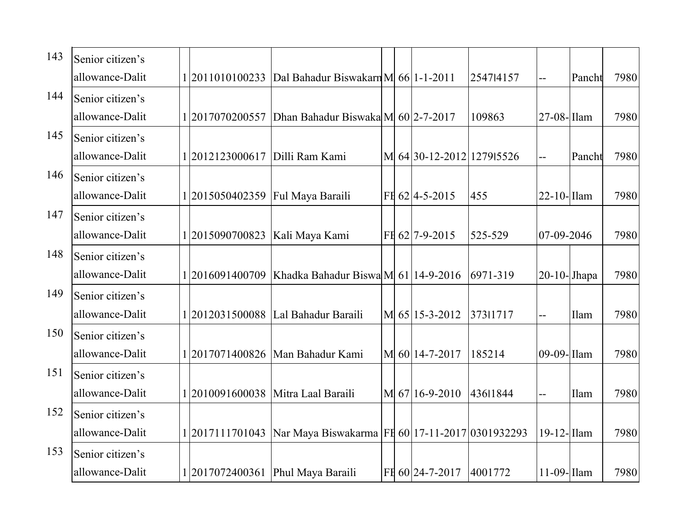| 143 | Senior citizen's |                                    |                                                                       |  |                           |           |                |        |      |
|-----|------------------|------------------------------------|-----------------------------------------------------------------------|--|---------------------------|-----------|----------------|--------|------|
|     | allowance-Dalit  | 1 2011010100233                    | Dal Bahadur Biswakarn M 66 1-1-2011                                   |  |                           | 254714157 | $-$            | Pancht | 7980 |
| 144 | Senior citizen's |                                    |                                                                       |  |                           |           |                |        |      |
|     | allowance-Dalit  | 2017070200557                      | Dhan Bahadur Biswaka M 60 2-7-2017                                    |  |                           | 109863    | $27-08$ -Ilam  |        | 7980 |
| 145 | Senior citizen's |                                    |                                                                       |  |                           |           |                |        |      |
|     | allowance-Dalit  | [2012123000617   Dilli Ram Kami    |                                                                       |  | M 64 30-12-2012 1279 5526 |           | $-$            | Pancht | 7980 |
| 146 | Senior citizen's |                                    |                                                                       |  |                           |           |                |        |      |
|     | allowance-Dalit  | 1 2015050402359   Ful Maya Baraili |                                                                       |  | FH 62 4-5-2015            | 455       | $22-10$ -Ilam  |        | 7980 |
| 147 | Senior citizen's |                                    |                                                                       |  |                           |           |                |        |      |
|     | allowance-Dalit  | 1 2015090700823   Kali Maya Kami   |                                                                       |  | FH 62 7-9-2015            | 525-529   | 07-09-2046     |        | 7980 |
| 148 | Senior citizen's |                                    |                                                                       |  |                           |           |                |        |      |
|     | allowance-Dalit  | 1 2016091400709                    | Khadka Bahadur Biswa M 61 14-9-2016                                   |  |                           | 6971-319  | $20-10$ -Jhapa |        | 7980 |
| 149 | Senior citizen's |                                    |                                                                       |  |                           |           |                |        |      |
|     | allowance-Dalit  |                                    | 2012031500088 Lal Bahadur Baraili                                     |  | M 65 15-3-2012            | 37311717  | $-$            | Ilam   | 7980 |
| 150 | Senior citizen's |                                    |                                                                       |  |                           |           |                |        |      |
|     | allowance-Dalit  |                                    | 2017071400826   Man Bahadur Kami                                      |  | M 60 14-7-2017            | 185214    | 09-09-Ilam     |        | 7980 |
| 151 | Senior citizen's |                                    |                                                                       |  |                           |           |                |        |      |
|     | allowance-Dalit  |                                    | 2010091600038 Mitra Laal Baraili                                      |  | M 67 16-9-2010            | 43611844  | $-$            | Ilam   | 7980 |
| 152 | Senior citizen's |                                    |                                                                       |  |                           |           |                |        |      |
|     | allowance-Dalit  |                                    | 1 2017111701043   Nar Maya Biswakarma   F1 60  17-11-2017  0301932293 |  |                           |           | 19-12-Ilam     |        | 7980 |
| 153 | Senior citizen's |                                    |                                                                       |  |                           |           |                |        |      |
|     | allowance-Dalit  |                                    | 2017072400361 Phul Maya Baraili                                       |  | FH 60 24-7-2017           | 4001772   | $11-09$ -Ilam  |        | 7980 |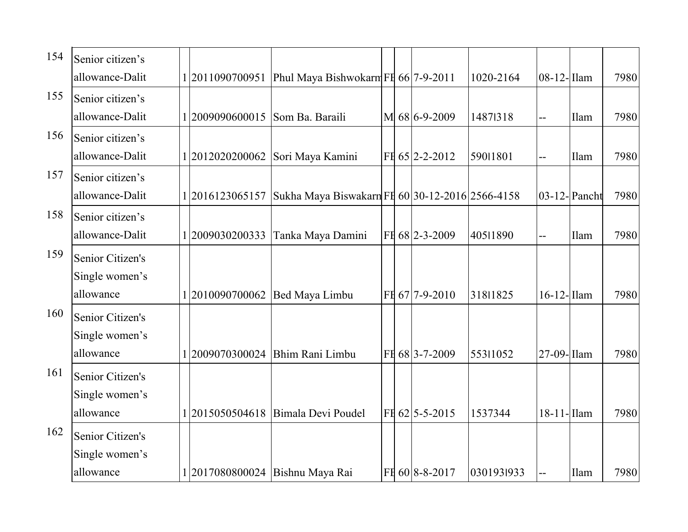| 154 | Senior citizen's |                 |                                                 |  |                |            |               |              |      |
|-----|------------------|-----------------|-------------------------------------------------|--|----------------|------------|---------------|--------------|------|
|     | allowance-Dalit  | 1 2011090700951 | Phul Maya Bishwokarm FE 66 7-9-2011             |  |                | 1020-2164  | $08-12$ -Ilam |              | 7980 |
| 155 | Senior citizen's |                 |                                                 |  |                |            |               |              |      |
|     | allowance-Dalit  | 2009090600015   | Som Ba. Baraili                                 |  | M 68 6-9-2009  | 14871318   | $-$           | Ilam         | 7980 |
| 156 | Senior citizen's |                 |                                                 |  |                |            |               |              |      |
|     | allowance-Dalit  | 1 2012020200062 | Sori Maya Kamini                                |  | FH 65 2-2-2012 | 59011801   | $-$           | Ilam         | 7980 |
| 157 | Senior citizen's |                 |                                                 |  |                |            |               |              |      |
|     | allowance-Dalit  | 2016123065157   | Sukha Maya Biswakarn FI 60 30-12-2016 2566-4158 |  |                |            |               | 03-12-Pancht | 7980 |
| 158 | Senior citizen's |                 |                                                 |  |                |            |               |              |      |
|     | allowance-Dalit  | 12009030200333  | Tanka Maya Damini                               |  | FH 68 2-3-2009 | 40511890   | --            | Ilam         | 7980 |
| 159 | Senior Citizen's |                 |                                                 |  |                |            |               |              |      |
|     | Single women's   |                 |                                                 |  |                |            |               |              |      |
|     | allowance        | 2010090700062   | Bed Maya Limbu                                  |  | FH 67 7-9-2010 | 31811825   | 16-12-Ilam    |              | 7980 |
| 160 | Senior Citizen's |                 |                                                 |  |                |            |               |              |      |
|     | Single women's   |                 |                                                 |  |                |            |               |              |      |
|     | allowance        |                 | 2009070300024   Bhim Rani Limbu                 |  | FH 68 3-7-2009 | 55311052   | 27-09- Ilam   |              | 7980 |
| 161 | Senior Citizen's |                 |                                                 |  |                |            |               |              |      |
|     | Single women's   |                 |                                                 |  |                |            |               |              |      |
|     | allowance        | 2015050504618   | Bimala Devi Poudel                              |  | FH 62 5-5-2015 | 1537344    | $18-11$ -Ilam |              | 7980 |
| 162 | Senior Citizen's |                 |                                                 |  |                |            |               |              |      |
|     | Single women's   |                 |                                                 |  |                |            |               |              |      |
|     | allowance        |                 | 2017080800024 Bishnu Maya Rai                   |  | FE 60 8-8-2017 | 0301931933 | $-$           | Ilam         | 7980 |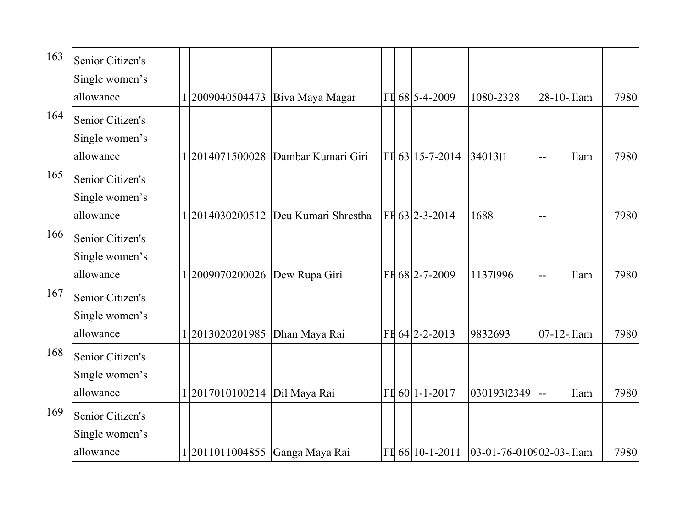| 163 | Senior Citizen's                                |                                |                                      |  |                 |                              |               |      |      |
|-----|-------------------------------------------------|--------------------------------|--------------------------------------|--|-----------------|------------------------------|---------------|------|------|
|     | Single women's<br>allowance                     | 2009040504473                  | Biva Maya Magar                      |  | FH 68 5-4-2009  | 1080-2328                    | 28-10-Ilam    |      | 7980 |
| 164 | Senior Citizen's<br>Single women's<br>allowance |                                | 1 2014071500028   Dambar Kumari Giri |  | FH 63 15-7-2014 | 3401311                      |               | Ilam | 7980 |
| 165 | Senior Citizen's<br>Single women's              |                                |                                      |  |                 |                              |               |      |      |
| 166 | allowance<br>Senior Citizen's<br>Single women's | 2014030200512                  | Deu Kumari Shrestha                  |  | FE 63 2-3-2014  | 1688                         |               |      | 7980 |
| 167 | allowance<br>Senior Citizen's                   | 2009070200026 Dew Rupa Giri    |                                      |  | FH 68 2-7-2009  | 11371996                     | $-$           | Ilam | 7980 |
|     | Single women's<br>allowance                     | 1 2013020201985                | Dhan Maya Rai                        |  | FH 64 2-2-2013  | 9832693                      | $07-12$ -Ilam |      | 7980 |
| 168 | Senior Citizen's<br>Single women's<br>allowance | 1 2017010100214   Dil Maya Rai |                                      |  | FH 60 1-1-2017  | 03019312349                  |               | Ilam | 7980 |
| 169 | Senior Citizen's<br>Single women's              |                                |                                      |  |                 |                              |               |      |      |
|     | allowance                                       | 2011011004855 Ganga Maya Rai   |                                      |  | FH 66 10-1-2011 | $ 03-01-76-010902-03-1$ Ilam |               |      | 7980 |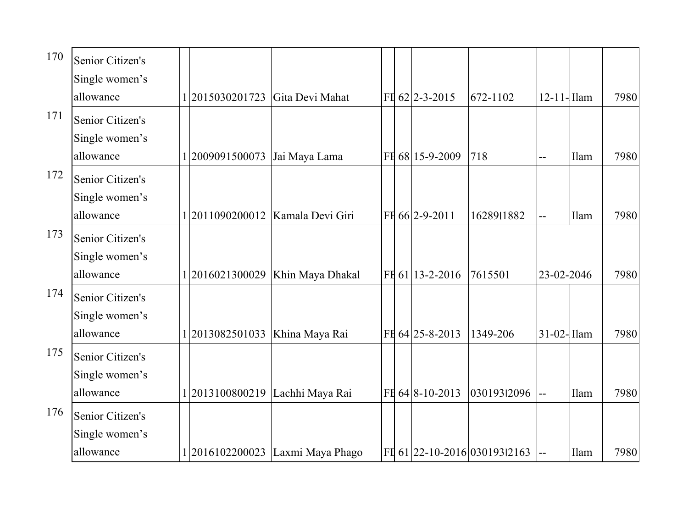| 170 | Senior Citizen's<br>Single women's              |                                  |                                  |  |                   |                              |               |      |      |
|-----|-------------------------------------------------|----------------------------------|----------------------------------|--|-------------------|------------------------------|---------------|------|------|
|     | allowance                                       | 2015030201723 Gita Devi Mahat    |                                  |  | FH 62 2-3-2015    | 672-1102                     | $12-11$ -Ilam |      | 7980 |
| 171 | Senior Citizen's<br>Single women's<br>allowance | 1 2009091500073 Jai Maya Lama    |                                  |  | FH 68 15-9-2009   | 718                          |               | Ilam | 7980 |
| 172 | Senior Citizen's<br>Single women's<br>allowance |                                  | 2011090200012   Kamala Devi Giri |  | FH 66 2-9-2011    | 1628911882                   |               | Ilam | 7980 |
| 173 | Senior Citizen's<br>Single women's<br>allowance |                                  | 2016021300029 Khin Maya Dhakal   |  | FH 61 13-2-2016   | 7615501                      | 23-02-2046    |      | 7980 |
| 174 | Senior Citizen's<br>Single women's<br>allowance | 1 2013082501033   Khina Maya Rai |                                  |  | FH $64$ 25-8-2013 | 1349-206                     | $31-02$ -Ilam |      | 7980 |
| 175 | Senior Citizen's<br>Single women's<br>allowance |                                  | 1 2013100800219 Lachhi Maya Rai  |  | FE 64 8-10-2013   | 03019312096                  |               | Ilam | 7980 |
| 176 | Senior Citizen's<br>Single women's<br>allowance |                                  | 2016102200023 Laxmi Maya Phago   |  |                   | FE 61 22-10-2016 03019312163 |               | Ilam | 7980 |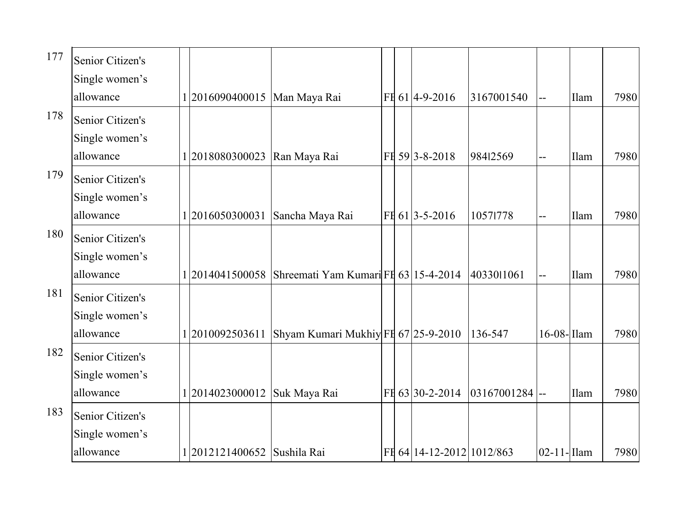| 177 | Senior Citizen's<br>Single women's              |                              |                                                   |  |                           |             |               |      |      |
|-----|-------------------------------------------------|------------------------------|---------------------------------------------------|--|---------------------------|-------------|---------------|------|------|
|     | allowance                                       | 2016090400015   Man Maya Rai |                                                   |  | FE 61 4-9-2016            | 3167001540  | $-$           | Ilam | 7980 |
| 178 | Senior Citizen's<br>Single women's<br>allowance | 2018080300023                | Ran Maya Rai                                      |  | FH 59 3-8-2018            | 98412569    | --            | Ilam | 7980 |
| 179 | Senior Citizen's<br>Single women's              |                              |                                                   |  |                           |             |               |      |      |
|     | allowance                                       | 2016050300031                | Sancha Maya Rai                                   |  | FE 61 3-5-2016            | 10571778    |               | Ilam | 7980 |
| 180 | Senior Citizen's<br>Single women's<br>allowance |                              | 2014041500058 Shreemati Yam KumariFH 63 15-4-2014 |  |                           | 4033011061  | $-$           | Ilam | 7980 |
| 181 | Senior Citizen's<br>Single women's<br>allowance | 2010092503611                | Shyam Kumari Mukhiy FI 67 25-9-2010               |  |                           | 136-547     | 16-08- Ilam   |      | 7980 |
| 182 | Senior Citizen's<br>Single women's<br>allowance | 1 2014023000012              | Suk Maya Rai                                      |  | FH 63 30-2-2014           | 03167001284 |               | Ilam | 7980 |
| 183 | Senior Citizen's<br>Single women's              |                              |                                                   |  |                           |             |               |      |      |
|     | allowance                                       | 2012121400652                | Sushila Rai                                       |  | FI 64 14-12-2012 1012/863 |             | $02-11$ -Ilam |      | 7980 |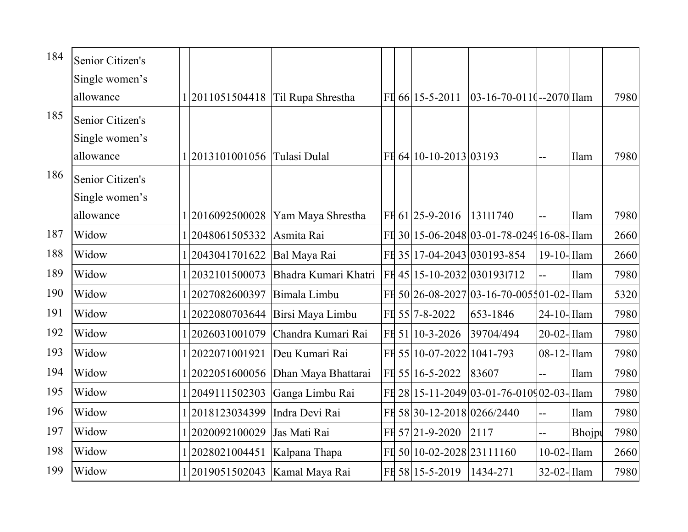| 184 | Senior Citizen's |                                |                                     |  |                            |                                            |                          |             |      |
|-----|------------------|--------------------------------|-------------------------------------|--|----------------------------|--------------------------------------------|--------------------------|-------------|------|
|     | Single women's   |                                |                                     |  |                            |                                            |                          |             |      |
|     | allowance        |                                | 1 2011051504418   Til Rupa Shrestha |  | FH 66 15-5-2011            | $[03-16-70-0110-2070]$ Ilam                |                          |             | 7980 |
| 185 | Senior Citizen's |                                |                                     |  |                            |                                            |                          |             |      |
|     | Single women's   |                                |                                     |  |                            |                                            |                          |             |      |
|     | allowance        | 1 2013101001056 Tulasi Dulal   |                                     |  | FE 64 10-10-2013 03193     |                                            | --                       | <b>Ilam</b> | 7980 |
| 186 | Senior Citizen's |                                |                                     |  |                            |                                            |                          |             |      |
|     | Single women's   |                                |                                     |  |                            |                                            |                          |             |      |
|     | allowance        | 1 2016092500028                | Yam Maya Shrestha                   |  | FH 61 25-9-2016            | 13111740                                   |                          | Ilam        | 7980 |
| 187 | Widow            | 2048061505332                  | Asmita Rai                          |  |                            | FI 30 15-06-2048 03-01-78-0249 16-08- Ilam |                          |             | 2660 |
| 188 | Widow            | 2043041701622                  | Bal Maya Rai                        |  |                            | FI 35 17-04-2043 030193-854                | $19-10$ -Ilam            |             | 2660 |
| 189 | Widow            | 2032101500073                  | Bhadra Kumari Khatri                |  |                            | FI 45 15-10-2032 0301931712                | $\overline{\phantom{a}}$ | Ilam        | 7980 |
| 190 | Widow            | 2027082600397                  | Bimala Limbu                        |  |                            | FI 50 26-08-2027 03-16-70-0055 01-02- Ilam |                          |             | 5320 |
| 191 | Widow            | 2022080703644                  | Birsi Maya Limbu                    |  | FH 55 7-8-2022             | 653-1846                                   | 24-10-Ilam               |             | 7980 |
| 192 | Widow            | 2026031001079                  | Chandra Kumari Rai                  |  | FH 51 10-3-2026            | 39704/494                                  | $20-02$ -Ilam            |             | 7980 |
| 193 | Widow            | 2022071001921                  | Deu Kumari Rai                      |  | FE 55 10-07-2022 1041-793  |                                            | 08-12-Ilam               |             | 7980 |
| 194 | Widow            | 2022051600056                  | Dhan Maya Bhattarai                 |  | FH 55 16-5-2022            | 83607                                      | $\overline{\phantom{a}}$ | Ilam        | 7980 |
| 195 | Widow            | 12049111502303                 | Ganga Limbu Rai                     |  |                            | FI 28 15-11-2049 03-01-76-010902-03- Ilam  |                          |             | 7980 |
| 196 | Widow            | 2018123034399                  | Indra Devi Rai                      |  | FE 58 30-12-2018 0266/2440 |                                            | --                       | Ilam        | 7980 |
| 197 | Widow            | 2020092100029                  | Jas Mati Rai                        |  | FH 57 21-9-2020            | 2117                                       | --                       | Bhojpu      | 7980 |
| 198 | Widow            | 2028021004451                  | Kalpana Thapa                       |  | FH 50 10-02-2028 23111160  |                                            | $10-02$ -Ilam            |             | 2660 |
| 199 | Widow            | 2019051502043   Kamal Maya Rai |                                     |  | FH 58 15-5-2019            | 1434-271                                   | 32-02-Ilam               |             | 7980 |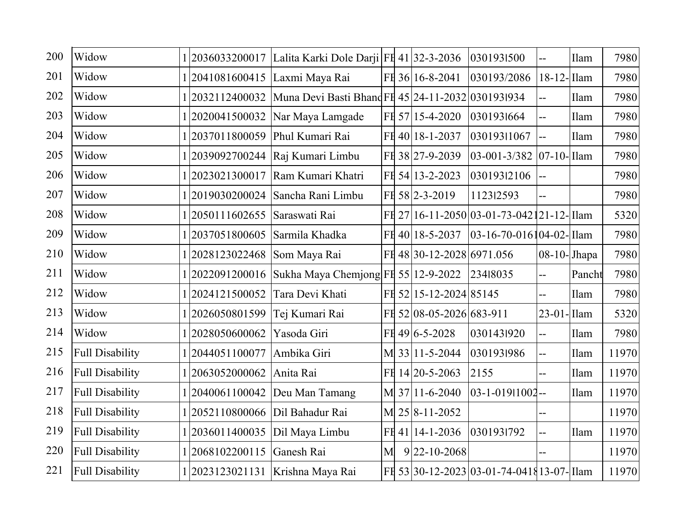| 200 | Widow                  |                                   | 1 2036033200017 Lalita Karki Dole Darji FI 41 32-3-2036             |   |                           | 0301931500                                |                          | Ilam   | 7980  |
|-----|------------------------|-----------------------------------|---------------------------------------------------------------------|---|---------------------------|-------------------------------------------|--------------------------|--------|-------|
| 201 | Widow                  | 1 2041081600415  Laxmi Maya Rai   |                                                                     |   | FH 36 16-8-2041           | 030193/2086                               | $18-12$ -Ilam            |        | 7980  |
| 202 | Widow                  |                                   | 1 2032112400032   Muna Devi Basti Bhand FI 45 24-11-2032 0301931934 |   |                           |                                           | --                       | Ilam   | 7980  |
| 203 | Widow                  |                                   | 1 2020041500032   Nar Maya Lamgade                                  |   | FH 57 15-4-2020           | 0301931664                                | --                       | Ilam   | 7980  |
| 204 | Widow                  | 1 2037011800059 Phul Kumari Rai   |                                                                     |   | FH 40 18-1-2037           | 03019311067                               | $\overline{a}$           | Ilam   | 7980  |
| 205 | Widow                  |                                   | 1 2039092700244   Raj Kumari Limbu                                  |   | FH 38 27-9-2039           | 03-001-3/382 07-10-Jllam                  |                          |        | 7980  |
| 206 | Widow                  | 1 2023021300017                   | Ram Kumari Khatri                                                   |   | FH 54 13-2-2023           | 03019312106                               | $\overline{\phantom{a}}$ |        | 7980  |
| 207 | Widow                  |                                   | 1 2019030200024   Sancha Rani Limbu                                 |   | FH 58 2-3-2019            | 112312593                                 |                          |        | 7980  |
| 208 | Widow                  | 1 2050111602655   Saraswati Rai   |                                                                     |   |                           | FI 27 16-11-2050 03-01-73-042121-12- Ilam |                          |        | 5320  |
| 209 | Widow                  | 1 2037051800605 Sarmila Khadka    |                                                                     |   | FH 40 18-5-2037           | 03-16-70-016104-02-Illam                  |                          |        | 7980  |
| 210 | Widow                  | 1 2028123022468   Som Maya Rai    |                                                                     |   | FI 48 30-12-2028 6971.056 |                                           | 08-10-Jhapa              |        | 7980  |
| 211 | Widow                  |                                   | 1 2022091200016   Sukha Maya Chemjong FI 55   12-9-2022             |   |                           | 23418035                                  | --                       | Pancht | 7980  |
| 212 | Widow                  | 1 2024121500052                   | Tara Devi Khati                                                     |   | FE 52 15-12-2024 85145    |                                           |                          | Ilam   | 7980  |
| 213 | Widow                  | 1 2026050801599                   | Tej Kumari Rai                                                      |   | FI 52 08-05-2026 683-911  |                                           | $23-01$ -Ilam            |        | 5320  |
| 214 | Widow                  | 12028050600062                    | Yasoda Giri                                                         |   | FH 49 6-5-2028            | 0301431920                                | --                       | Ilam   | 7980  |
| 215 | <b>Full Disability</b> | 1 2044051100077                   | Ambika Giri                                                         |   | M 33 11-5-2044            | 0301931986                                | --                       | Ilam   | 11970 |
| 216 | <b>Full Disability</b> | 1 2063052000062                   | Anita Rai                                                           |   | FH 14 20-5-2063           | 2155                                      | $-$                      | Ilam   | 11970 |
| 217 | <b>Full Disability</b> |                                   | 1 2040061100042  Deu Man Tamang                                     |   | M 37 11-6-2040            | 03-1-01911002--                           |                          | Ilam   | 11970 |
| 218 | <b>Full Disability</b> | 1 2052110800066   Dil Bahadur Rai |                                                                     |   | M 25 8-11-2052            |                                           | --                       |        | 11970 |
| 219 | <b>Full Disability</b> | 1 2036011400035   Dil Maya Limbu  |                                                                     |   | FH 41 14-1-2036           | 0301931792                                | --                       | Ilam   | 11970 |
| 220 | <b>Full Disability</b> | 1 2068102200115                   | Ganesh Rai                                                          | M | $9 22-10-2068$            |                                           | $-$                      |        | 11970 |
| 221 | <b>Full Disability</b> |                                   | 1 2023123021131   Krishna Maya Rai                                  |   |                           | FI 53 30-12-2023 03-01-74-0418 13-07-     |                          |        | 11970 |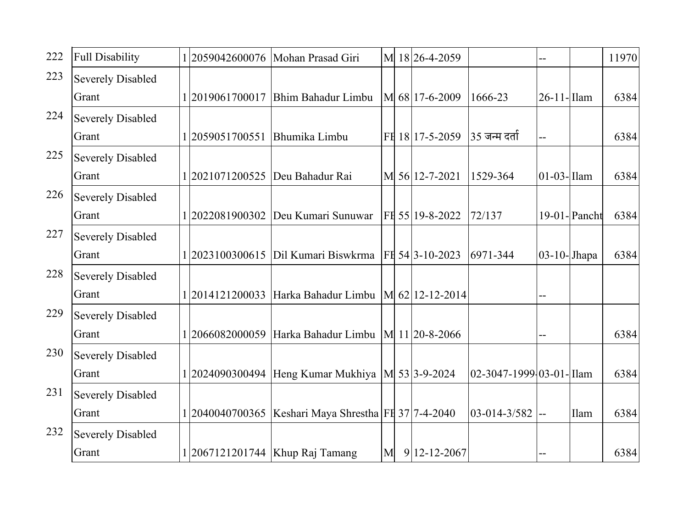| 222 | <b>Full Disability</b>   |                                 | 1 2059042600076   Mohan Prasad Giri                       | M | 18 26 - 4 - 2059 |                            |                |                 | 11970 |
|-----|--------------------------|---------------------------------|-----------------------------------------------------------|---|------------------|----------------------------|----------------|-----------------|-------|
| 223 | <b>Severely Disabled</b> |                                 |                                                           |   |                  |                            |                |                 |       |
|     | Grant                    |                                 | 1 2019061700017   Bhim Bahadur Limbu                      |   | M 68 17-6-2009   | 1666-23                    | 26-11-Ilam     |                 | 6384  |
| 224 | <b>Severely Disabled</b> |                                 |                                                           |   |                  |                            |                |                 |       |
|     | Grant                    | 12059051700551                  | Bhumika Limbu                                             |   | FH 18 17-5-2059  | 35 जन्म दर्ता              |                |                 | 6384  |
| 225 | <b>Severely Disabled</b> |                                 |                                                           |   |                  |                            |                |                 |       |
|     | Grant                    | 1 2021071200525 Deu Bahadur Rai |                                                           |   | M 56 12-7-2021   | 1529-364                   | $01-03$ -Ilam  |                 | 6384  |
| 226 | <b>Severely Disabled</b> |                                 |                                                           |   |                  |                            |                |                 |       |
|     | Grant                    |                                 | 1 2022081900302 Deu Kumari Sunuwar                        |   | FE 55 19-8-2022  | 72/137                     |                | $19-01$ -Pancht | 6384  |
| 227 | <b>Severely Disabled</b> |                                 |                                                           |   |                  |                            |                |                 |       |
|     | Grant                    |                                 | 1 2023100300615   Dil Kumari Biswkrma   FI 54  3-10-2023  |   |                  | 6971-344                   | $03-10$ -Jhapa |                 | 6384  |
| 228 | <b>Severely Disabled</b> |                                 |                                                           |   |                  |                            |                |                 |       |
|     | Grant                    |                                 | 1 2014121200033 Harka Bahadur Limbu   M 62  12-12-2014    |   |                  |                            |                |                 |       |
| 229 | <b>Severely Disabled</b> |                                 |                                                           |   |                  |                            |                |                 |       |
|     | Grant                    |                                 | 1 2066082000059   Harka Bahadur Limbu   M   11 20-8-2066  |   |                  |                            |                |                 | 6384  |
| 230 | <b>Severely Disabled</b> |                                 |                                                           |   |                  |                            |                |                 |       |
|     | Grant                    |                                 | 1 2024090300494   Heng Kumar Mukhiya   M 53  3-9-2024     |   |                  | $02-3047-1999-03-01$ -Ilam |                |                 | 6384  |
| 231 | <b>Severely Disabled</b> |                                 |                                                           |   |                  |                            |                |                 |       |
|     | Grant                    |                                 | 1 2040040700365   Keshari Maya Shrestha   FE 37  7-4-2040 |   |                  | $ 03-014-3/582 $ --        |                | Ilam            | 6384  |
| 232 | <b>Severely Disabled</b> |                                 |                                                           |   |                  |                            |                |                 |       |
|     | Grant                    |                                 | 1 2067121201744   Khup Raj Tamang                         | M | $9 12-12-2067$   |                            |                |                 | 6384  |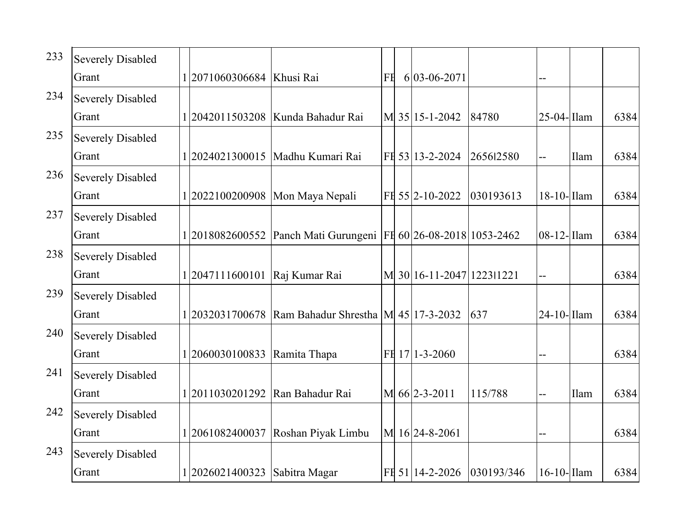| 233 | <b>Severely Disabled</b> |                           |                                                                 |    |                           |            |                |      |      |
|-----|--------------------------|---------------------------|-----------------------------------------------------------------|----|---------------------------|------------|----------------|------|------|
|     | Grant                    | 2071060306684   Khusi Rai |                                                                 | FE | $6 03-06-2071$            |            |                |      |      |
| 234 | <b>Severely Disabled</b> |                           |                                                                 |    |                           |            |                |      |      |
|     | Grant                    | 1 2042011503208           | Kunda Bahadur Rai                                               |    | M 35 15-1-2042            | 84780      | 25-04-Ilam     |      | 6384 |
| 235 | <b>Severely Disabled</b> |                           |                                                                 |    |                           |            |                |      |      |
|     | Grant                    |                           | 1 2024021300015   Madhu Kumari Rai                              |    | FH 53 13-2-2024           | 265612580  |                | Ilam | 6384 |
| 236 | <b>Severely Disabled</b> |                           |                                                                 |    |                           |            |                |      |      |
|     | Grant                    | 2022100200908             | Mon Maya Nepali                                                 |    | FH 55 2-10-2022           | 030193613  | 18-10-<br>Ilam |      | 6384 |
| 237 | <b>Severely Disabled</b> |                           |                                                                 |    |                           |            |                |      |      |
|     | Grant                    |                           | 1 2018082600552 Panch Mati Gurungeni FI 60 26-08-2018 1053-2462 |    |                           |            | $08-12$ -Ilam  |      | 6384 |
| 238 | <b>Severely Disabled</b> |                           |                                                                 |    |                           |            |                |      |      |
|     | Grant                    | 12047111600101            | Raj Kumar Rai                                                   |    | M 30 16-11-2047 1223 1221 |            |                |      | 6384 |
| 239 | <b>Severely Disabled</b> |                           |                                                                 |    |                           |            |                |      |      |
|     | Grant                    | 2032031700678             | Ram Bahadur Shrestha $ M $ 45   17-3-2032                       |    |                           | 637        | $24-10$ -Ilam  |      | 6384 |
| 240 | <b>Severely Disabled</b> |                           |                                                                 |    |                           |            |                |      |      |
|     | Grant                    | 1 2060030100833           | Ramita Thapa                                                    |    | FH 17 1-3-2060            |            |                |      | 6384 |
| 241 | <b>Severely Disabled</b> |                           |                                                                 |    |                           |            |                |      |      |
|     | Grant                    | 2011030201292             | Ran Bahadur Rai                                                 |    | M 66 2-3-2011             | 115/788    |                | Ilam | 6384 |
| 242 | <b>Severely Disabled</b> |                           |                                                                 |    |                           |            |                |      |      |
|     | Grant                    | 2061082400037             | Roshan Piyak Limbu                                              |    | M 16 24-8-2061            |            |                |      | 6384 |
| 243 | <b>Severely Disabled</b> |                           |                                                                 |    |                           |            |                |      |      |
|     | Grant                    | 2026021400323             | Sabitra Magar                                                   |    | FH 51 14-2-2026           | 030193/346 | $16-10$ -Ilam  |      | 6384 |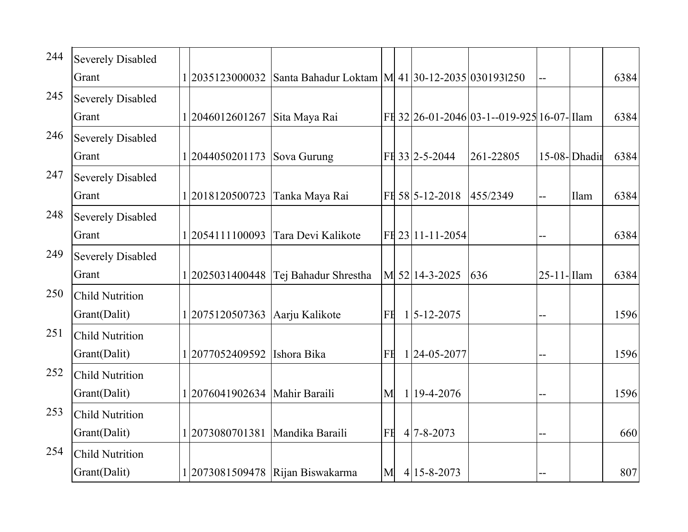| 244 | <b>Severely Disabled</b> |                 |                                                   |    |                   |                                            |                 |              |      |
|-----|--------------------------|-----------------|---------------------------------------------------|----|-------------------|--------------------------------------------|-----------------|--------------|------|
|     | Grant                    | 2035123000032   | Santa Bahadur Loktam   M 41 30-12-2035 0301931250 |    |                   |                                            |                 |              | 6384 |
| 245 | <b>Severely Disabled</b> |                 |                                                   |    |                   |                                            |                 |              |      |
|     | Grant                    | 1 2046012601267 | Sita Maya Rai                                     |    |                   | FI 32 26-01-2046 03-1--019-925 16-07- Ilam |                 |              | 6384 |
| 246 | <b>Severely Disabled</b> |                 |                                                   |    |                   |                                            |                 |              |      |
|     | Grant                    | 1 2044050201173 | Sova Gurung                                       |    | FH 33 2-5-2044    | 261-22805                                  |                 | 15-08-Dhadir | 6384 |
| 247 | <b>Severely Disabled</b> |                 |                                                   |    |                   |                                            |                 |              |      |
|     | Grant                    | 1 2018120500723 | Tanka Maya Rai                                    |    | FH 58 5-12-2018   | 455/2349                                   |                 | Ilam         | 6384 |
| 248 | <b>Severely Disabled</b> |                 |                                                   |    |                   |                                            |                 |              |      |
|     | Grant                    | 1 2054111100093 | Tara Devi Kalikote                                |    | FH 23 11-11-2054  |                                            |                 |              | 6384 |
| 249 | <b>Severely Disabled</b> |                 |                                                   |    |                   |                                            |                 |              |      |
|     | Grant                    |                 | 1 2025031400448   Tej Bahadur Shrestha            |    | M 52 14-3-2025    | 636                                        | $25 - 11$ -Ilam |              | 6384 |
| 250 | <b>Child Nutrition</b>   |                 |                                                   |    |                   |                                            |                 |              |      |
|     | Grant(Dalit)             | 1 2075120507363 | Aarju Kalikote                                    | FE | $1 5 - 12 - 2075$ |                                            |                 |              | 1596 |
| 251 | <b>Child Nutrition</b>   |                 |                                                   |    |                   |                                            |                 |              |      |
|     | Grant(Dalit)             | 1 2077052409592 | Ishora Bika                                       | FE | 1 24-05-2077      |                                            |                 |              | 1596 |
| 252 | <b>Child Nutrition</b>   |                 |                                                   |    |                   |                                            |                 |              |      |
|     | Grant(Dalit)             | 1 2076041902634 | Mahir Baraili                                     | M  | $1 19-4-2076$     |                                            |                 |              | 1596 |
| 253 | <b>Child Nutrition</b>   |                 |                                                   |    |                   |                                            |                 |              |      |
|     | Grant(Dalit)             | 2073080701381   | Mandika Baraili                                   | FE | $4 7 - 8 - 2073$  |                                            |                 |              | 660  |
| 254 | <b>Child Nutrition</b>   |                 |                                                   |    |                   |                                            |                 |              |      |
|     | Grant(Dalit)             |                 | 1 2073081509478   Rijan Biswakarma                | M  | $4 15 - 8 - 2073$ |                                            |                 |              | 807  |